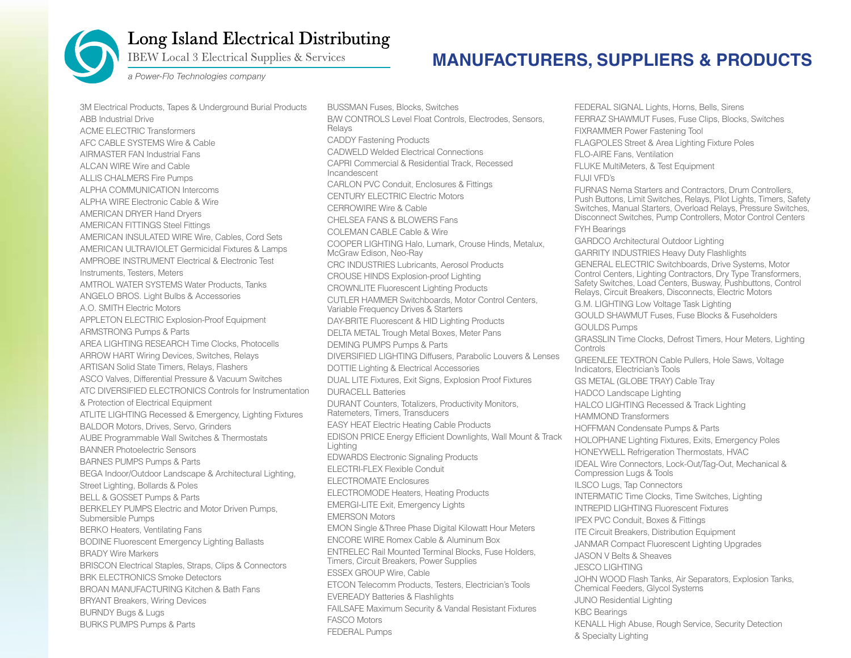

## Long Island Electrical Distributing

**IBEW Local 3 Electrical Supplies & Services** 

## **MANUFACTURERS, SUPPLIERS & PRODUCTS**

a Power-Flo Technologies company

3M Electrical Products, Tapes & Underground Burial Products ABB Industrial Drive ACME ELECTRIC Transformers AFC CABLE SYSTEMS Wire & Cable AIRMASTER FAN Industrial Fans ALCAN WIRE Wire and Cable ALLIS CHALMERS Fire Pumps ALPHA COMMUNICATION Intercoms ALPHA WIRE Electronic Cable & Wire AMERICAN DRYER Hand Dryers AMERICAN FITTINGS Steel Fittings AMERICAN INSULATED WIRE Wire, Cables, Cord Sets AMERICAN ULTRAVIOLET Germicidal Fixtures & Lamps AMPROBE INSTRUMENT Electrical & Electronic Test Instruments, Testers, Meters AMTROL WATER SYSTEMS Water Products, Tanks ANGELO BROS. Light Bulbs & Accessories A.O. SMITH Electric Motors APPLETON ELECTRIC Explosion-Proof Equipment ARMSTRONG Pumps & Parts AREA LIGHTING RESEARCH Time Clocks, Photocells ARROW HART Wiring Devices, Switches, Relays ARTISAN Solid State Timers, Relays, Flashers ASCO Valves, Differential Pressure & Vacuum Switches ATC DIVERSIFIED ELECTRONICS Controls for Instrumentation & Protection of Electrical Equipment ATLITE LIGHTING Recessed & Emergency, Lighting Fixtures BALDOR Motors, Drives, Servo, Grinders AUBE Programmable Wall Switches & Thermostats BANNER Photoelectric Sensors BARNES PUMPS Pumps & Parts BEGA Indoor/Outdoor Landscape & Architectural Lighting, Street Lighting, Bollards & Poles BELL & GOSSET Pumps & Parts BERKELEY PUMPS Electric and Motor Driven Pumps, Submersible Pumps BERKO Heaters, Ventilating Fans BODINE Fluorescent Emergency Lighting Ballasts BRADY Wire Markers BRISCON Electrical Staples, Straps, Clips & Connectors BRK ELECTRONICS Smoke Detectors BROAN MANUFACTURING Kitchen & Bath Fans BRYANT Breakers, Wiring Devices BURNDY Bugs & Lugs BURKS PUMPS Pumps & Parts

BUSSMAN Fuses, Blocks, Switches B/W CONTROLS Level Float Controls, Electrodes, Sensors, Relays CADDY Fastening Products CADWELD Welded Electrical Connections CAPRI Commercial & Residential Track, Recessed Incandescent CARLON PVC Conduit, Enclosures & Fittings CENTURY ELECTRIC Electric Motors CERROWIRE Wire & Cable CHELSEA FANS & BLOWERS Fans COLEMAN CABLE Cable & Wire COOPER LIGHTING Halo, Lumark, Crouse Hinds, Metalux, McGraw Edison, Neo-Ray CRC INDUSTRIES Lubricants, Aerosol Products CROUSE HINDS Explosion-proof Lighting CROWNLITE Fluorescent Lighting Products CUTLER HAMMER Switchboards, Motor Control Centers, Variable Frequency Drives & Starters DAY-BRITE Fluorescent & HID Lighting Products DELTA METAL Trough Metal Boxes, Meter Pans DEMING PUMPS Pumps & Parts DIVERSIFIED LIGHTING Diffusers, Parabolic Louvers & Lenses DOTTIE Lighting & Electrical Accessories DUAL LITE Fixtures, Exit Signs, Explosion Proof Fixtures DURACELL Batteries DURANT Counters, Totalizers, Productivity Monitors, Ratemeters, Timers, Transducers EASY HEAT Electric Heating Cable Products EDISON PRICE Energy Efficient Downlights, Wall Mount & Track Lighting EDWARDS Electronic Signaling Products ELECTRI-FLEX Flexible Conduit ELECTROMATE Enclosures ELECTROMODE Heaters, Heating Products EMERGI-LITE Exit, Emergency Lights EMERSON Motors EMON Single &Three Phase Digital Kilowatt Hour Meters ENCORE WIRE Romex Cable & Aluminum Box ENTRELEC Rail Mounted Terminal Blocks, Fuse Holders, Timers, Circuit Breakers, Power Supplies ESSEX GROUP Wire, Cable ETCON Telecomm Products, Testers, Electrician's Tools EVEREADY Batteries & Flashlights FAILSAFE Maximum Security & Vandal Resistant Fixtures FASCO Motors FEDERAL Pumps

FEDERAL SIGNAL Lights, Horns, Bells, Sirens FERRAZ SHAWMUT Fuses, Fuse Clips, Blocks, Switches FIXRAMMER Power Fastening Tool FLAGPOLES Street & Area Lighting Fixture Poles FLO-AIRE Fans, Ventilation FLUKE MultiMeters, & Test Equipment FUJI VFD's FURNAS Nema Starters and Contractors, Drum Controllers, Push Buttons, Limit Switches, Relays, Pilot Lights, Timers, Safety Switches, Manual Starters, Overload Relays, Pressure Switches, Disconnect Switches, Pump Controllers, Motor Control Centers FYH Bearings GARDCO Architectural Outdoor Lighting GARRITY INDUSTRIES Heavy Duty Flashlights GENERAL ELECTRIC Switchboards, Drive Systems, Motor Control Centers, Lighting Contractors, Dry Type Transformers, Safety Switches, Load Centers, Busway, Pushbuttons, Control Relays, Circuit Breakers, Disconnects, Electric Motors G.M. LIGHTING Low Voltage Task Lighting GOULD SHAWMUT Fuses, Fuse Blocks & Fuseholders GOULDS Pumps GRASSLIN Time Clocks, Defrost Timers, Hour Meters, Lighting **Controls** GREENLEE TEXTRON Cable Pullers, Hole Saws, Voltage Indicators, Electrician's Tools GS METAL (GLOBE TRAY) Cable Tray HADCO Landscape Lighting HALCO LIGHTING Recessed & Track Lighting HAMMOND Transformers HOFFMAN Condensate Pumps & Parts HOLOPHANE Lighting Fixtures, Exits, Emergency Poles HONEYWELL Refrigeration Thermostats, HVAC IDEAL Wire Connectors, Lock-Out/Tag-Out, Mechanical & Compression Lugs & Tools ILSCO Lugs, Tap Connectors INTERMATIC Time Clocks, Time Switches, Lighting INTREPID LIGHTING Fluorescent Fixtures IPEX PVC Conduit, Boxes & Fittings ITE Circuit Breakers, Distribution Equipment JANMAR Compact Fluorescent Lighting Upgrades JASON V Belts & Sheaves JESCO LIGHTING JOHN WOOD Flash Tanks, Air Separators, Explosion Tanks, Chemical Feeders, Glycol Systems JUNO Residential Lighting KBC Bearings KENALL High Abuse, Rough Service, Security Detection & Specialty Lighting